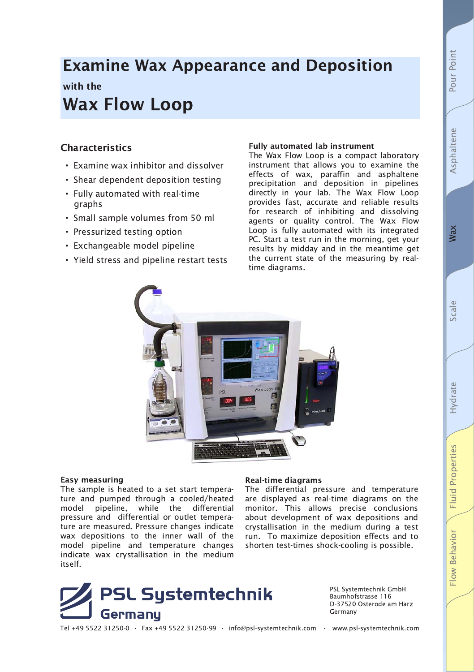# **Examine Wax Appearance and Deposition**

## with the **Wax Flow Loop**

### **Characteristics**

- Examine wax inhibitor and dissolver
- Shear dependent deposition testing
- Fully automated with real-time graphs
- Small sample volumes from 50 ml
- Pressurized testing option
- Exchangeable model pipeline
- Yield stress and pipeline restart tests

#### **Fully automated lab instrument**

The Wax Flow Loop is a compact laboratory instrument that allows you to examine the effects of wax, paraffin and asphaltene<br>precipitation and deposition in pipelines directly in your lab. The Wax Flow Loop provides fast, accurate and reliable results for research of inhibiting and dissolving agents or quality control. The Wax Flow Loop is fully automated with its integrated PC. Start a test run in the morning, get your results by midday and in the meantime get the current state of the measuring by realtime diagrams.



#### Easy measuring

The sample is heated to a set start temperature and pumped through a cooled/heated while model pipeline, the differential pressure and differential or outlet temperature are measured. Pressure changes indicate wax depositions to the inner wall of the model pipeline and temperature changes indicate wax crystallisation in the medium itself.

#### **Real-time diagrams**

The differential pressure and temperature are displayed as real-time diagrams on the monitor. This allows precise conclusions about development of wax depositions and crystallisation in the medium during a test run. To maximize deposition effects and to shorten test-times shock-cooling is possible.



PSL Systemtechnik GmbH Baumhofstrasse 116 D-37520 Osterode am Harz Germany

**Wax** 

Pour Point

Asphaltene